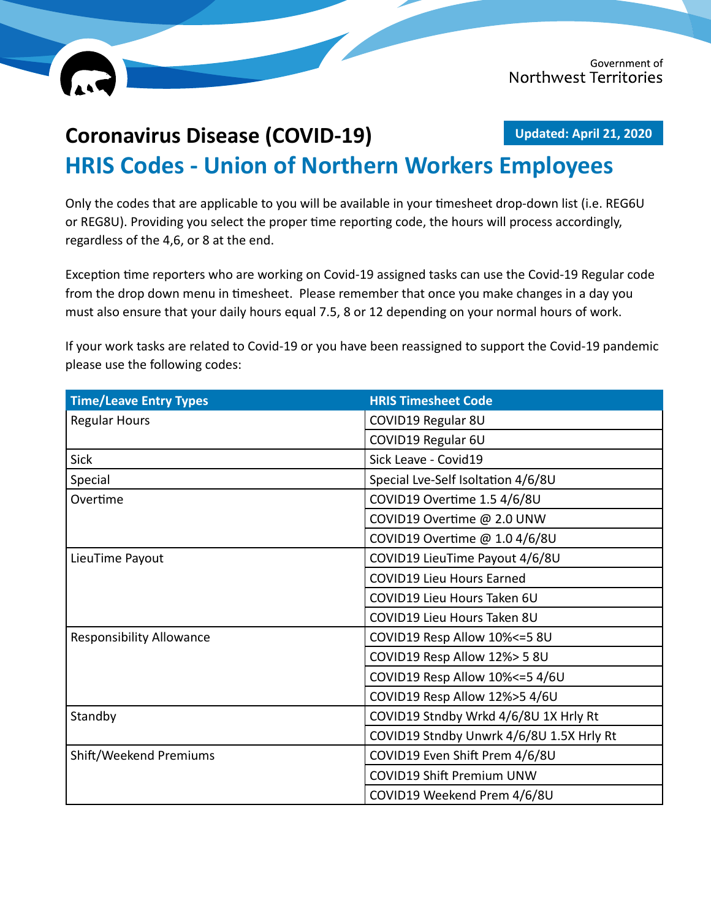

## **Coronavirus Disease (COVID-19) HRIS Codes - Union of Northern Workers Employees Updated: April 21, 2020**

Only the codes that are applicable to you will be available in your timesheet drop-down list (i.e. REG6U or REG8U). Providing you select the proper time reporting code, the hours will process accordingly, regardless of the 4,6, or 8 at the end.

Exception time reporters who are working on Covid-19 assigned tasks can use the Covid-19 Regular code from the drop down menu in timesheet. Please remember that once you make changes in a day you must also ensure that your daily hours equal 7.5, 8 or 12 depending on your normal hours of work.

If your work tasks are related to Covid-19 or you have been reassigned to support the Covid-19 pandemic please use the following codes:

| <b>Time/Leave Entry Types</b>   | <b>HRIS Timesheet Code</b>               |
|---------------------------------|------------------------------------------|
| <b>Regular Hours</b>            | COVID19 Regular 8U                       |
|                                 | COVID19 Regular 6U                       |
| Sick                            | Sick Leave - Covid19                     |
| Special                         | Special Lve-Self Isoltation 4/6/8U       |
| Overtime                        | COVID19 Overtime 1.5 4/6/8U              |
|                                 | COVID19 Overtime @ 2.0 UNW               |
|                                 | COVID19 Overtime @ 1.0 4/6/8U            |
| LieuTime Payout                 | COVID19 LieuTime Payout 4/6/8U           |
|                                 | <b>COVID19 Lieu Hours Earned</b>         |
|                                 | COVID19 Lieu Hours Taken 6U              |
|                                 | COVID19 Lieu Hours Taken 8U              |
| <b>Responsibility Allowance</b> | COVID19 Resp Allow 10% <= 5 8U           |
|                                 | COVID19 Resp Allow 12%> 5 8U             |
|                                 | COVID19 Resp Allow 10% <= 54/6U          |
|                                 | COVID19 Resp Allow 12%>5 4/6U            |
| Standby                         | COVID19 Stndby Wrkd 4/6/8U 1X Hrly Rt    |
|                                 | COVID19 Stndby Unwrk 4/6/8U 1.5X Hrly Rt |
| Shift/Weekend Premiums          | COVID19 Even Shift Prem 4/6/8U           |
|                                 | <b>COVID19 Shift Premium UNW</b>         |
|                                 | COVID19 Weekend Prem 4/6/8U              |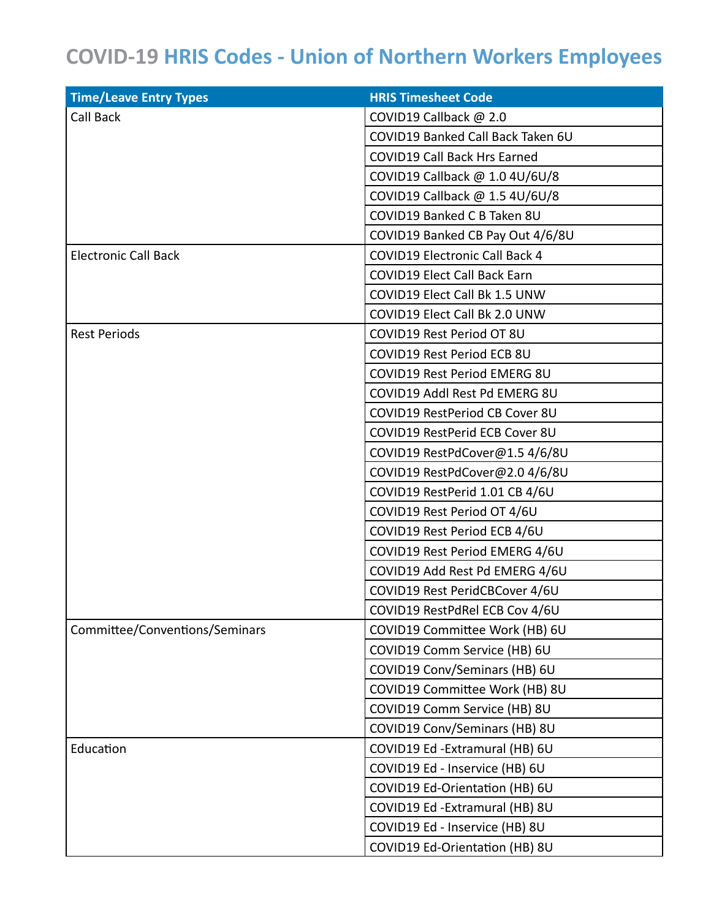## **COVID-19 HRIS Codes - Union of Northern Workers Employees**

| <b>Time/Leave Entry Types</b>  | <b>HRIS Timesheet Code</b>            |
|--------------------------------|---------------------------------------|
| Call Back                      | COVID19 Callback @ 2.0                |
|                                | COVID19 Banked Call Back Taken 6U     |
|                                | <b>COVID19 Call Back Hrs Earned</b>   |
|                                | COVID19 Callback @ 1.0 4U/6U/8        |
|                                | COVID19 Callback @ 1.5 4U/6U/8        |
|                                | COVID19 Banked C B Taken 8U           |
|                                | COVID19 Banked CB Pay Out 4/6/8U      |
| <b>Electronic Call Back</b>    | <b>COVID19 Electronic Call Back 4</b> |
|                                | <b>COVID19 Elect Call Back Earn</b>   |
|                                | COVID19 Elect Call Bk 1.5 UNW         |
|                                | COVID19 Elect Call Bk 2.0 UNW         |
| <b>Rest Periods</b>            | COVID19 Rest Period OT 8U             |
|                                | COVID19 Rest Period ECB 8U            |
|                                | <b>COVID19 Rest Period EMERG 8U</b>   |
|                                | COVID19 Addl Rest Pd EMERG 8U         |
|                                | COVID19 RestPeriod CB Cover 8U        |
|                                | COVID19 RestPerid ECB Cover 8U        |
|                                | COVID19 RestPdCover@1.5 4/6/8U        |
|                                | COVID19 RestPdCover@2.0 4/6/8U        |
|                                | COVID19 RestPerid 1.01 CB 4/6U        |
|                                | COVID19 Rest Period OT 4/6U           |
|                                | COVID19 Rest Period ECB 4/6U          |
|                                | COVID19 Rest Period EMERG 4/6U        |
|                                | COVID19 Add Rest Pd EMERG 4/6U        |
|                                | COVID19 Rest PeridCBCover 4/6U        |
|                                | COVID19 RestPdRel ECB Cov 4/6U        |
| Committee/Conventions/Seminars | COVID19 Committee Work (HB) 6U        |
|                                | COVID19 Comm Service (HB) 6U          |
|                                | COVID19 Conv/Seminars (HB) 6U         |
|                                | COVID19 Committee Work (HB) 8U        |
|                                | COVID19 Comm Service (HB) 8U          |
|                                | COVID19 Conv/Seminars (HB) 8U         |
| Education                      | COVID19 Ed - Extramural (HB) 6U       |
|                                | COVID19 Ed - Inservice (HB) 6U        |
|                                | COVID19 Ed-Orientation (HB) 6U        |
|                                | COVID19 Ed - Extramural (HB) 8U       |
|                                | COVID19 Ed - Inservice (HB) 8U        |
|                                | COVID19 Ed-Orientation (HB) 8U        |